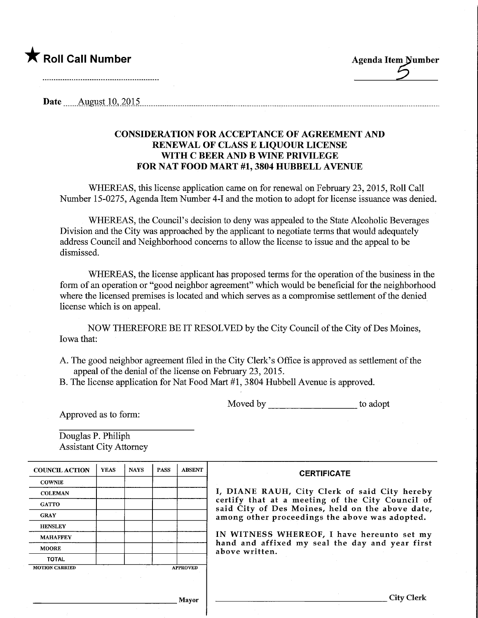

Date  $\frac{\text{August 10, 2015}}{\text{up} \cdot \text{up} \cdot \text{up} \cdot \text{up} \cdot \text{up} \cdot \text{up} \cdot \text{up} \cdot \text{up} \cdot \text{up} \cdot \text{up} \cdot \text{up} \cdot \text{up} \cdot \text{up} \cdot \text{up} \cdot \text{up} \cdot \text{up} \cdot \text{up} \cdot \text{up} \cdot \text{up} \cdot \text{up} \cdot \text{up} \cdot \text{up} \cdot \text{up} \cdot \text{up} \cdot \text{up} \cdot \text{up} \cdot \text{up} \cdot \text{up} \cdot \text{$ 

### CONSIDERATION FOR ACCEPTANCE OF AGREEMENT AND RENEWAL OF CLASS E LIQUOUR LICENSE WITH C BEER AND B WINE PRIVILEGE FOR NAT FOOD MART #1, 3804 HUBBELL AVENUE

WHEREAS, this license application came on for renewal on February 23, 2015, Roll Call Number 15-0275, Agenda Item Number 4-1 and the motion to adopt for license issuance was denied.

WHEREAS, the Council's decision to deny was appealed to the State Alcoholic Beverages Division and the City was approached by the applicant to negotiate terms that would adequately address Council and Neighborhood concerns to allow the license to issue and the appeal to be dismissed.

WHEREAS, the license applicant has proposed terms for the operation of the business in the form of an operation or "good neighbor agreement" which would be beneficial for the neighborhood where the licensed premises is located and which serves as a compromise settlement of the denied license which is on appeal.

NOW THEREFORE BE IT RESOLVED by the City Council of the City of Des Moines, Iowa that:

A. The good neighbor agreement filed in the City Clerk's Office is approved as settlement of the appeal of the denial of the license on February 23, 2015.

B. The license application for Nat Food Mart #1, 3804 Hubbell Avenue is approved.

Moved by to adopt

Approved as to form:

Douglas P. Philiph Assistant City Attorney

| <b>COUNCIL ACTION</b> | <b>YEAS</b> | <b>NAYS</b> | <b>PASS</b> | <b>ABSENT</b>   | <b>CERTIFICATE</b>                                                                                                                                                                                                                                                                                                         |
|-----------------------|-------------|-------------|-------------|-----------------|----------------------------------------------------------------------------------------------------------------------------------------------------------------------------------------------------------------------------------------------------------------------------------------------------------------------------|
| <b>COWNIE</b>         |             |             |             |                 |                                                                                                                                                                                                                                                                                                                            |
| <b>COLEMAN</b>        |             |             |             |                 | I, DIANE RAUH, City Clerk of said City hereby<br>certify that at a meeting of the City Council of<br>said City of Des Moines, held on the above date,<br>among other proceedings the above was adopted.<br>IN WITNESS WHEREOF, I have hereunto set my<br>hand and affixed my seal the day and year first<br>above written. |
| <b>GATTO</b>          |             |             |             |                 |                                                                                                                                                                                                                                                                                                                            |
| <b>GRAY</b>           |             |             |             |                 |                                                                                                                                                                                                                                                                                                                            |
| <b>HENSLEY</b>        |             |             |             |                 |                                                                                                                                                                                                                                                                                                                            |
| <b>MAHAFFEY</b>       |             |             |             |                 |                                                                                                                                                                                                                                                                                                                            |
| <b>MOORE</b>          |             |             |             |                 |                                                                                                                                                                                                                                                                                                                            |
| <b>TOTAL</b>          |             |             |             |                 |                                                                                                                                                                                                                                                                                                                            |
| <b>MOTION CARRIED</b> |             |             |             | <b>APPROVED</b> |                                                                                                                                                                                                                                                                                                                            |
|                       |             |             |             |                 |                                                                                                                                                                                                                                                                                                                            |
|                       |             |             |             | Mavor           | City Clerk                                                                                                                                                                                                                                                                                                                 |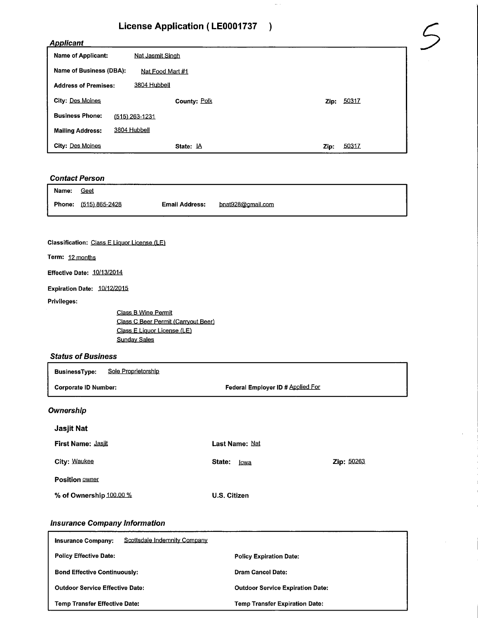## License Application (LE0001737 )

#### Applicant

| <b>License Application (LE0001737</b> |                         |               |  |  |  |
|---------------------------------------|-------------------------|---------------|--|--|--|
| <b>Applicant</b>                      |                         |               |  |  |  |
| <b>Name of Applicant:</b>             | <b>Nat Jasmit Singh</b> |               |  |  |  |
| Name of Business (DBA):               | Nat Food Mart #1        |               |  |  |  |
| <b>Address of Premises:</b>           | 3804 Hubbell            |               |  |  |  |
| City: Des Moines                      | County: Polk            | Zip: 50317    |  |  |  |
| <b>Business Phone:</b>                | $(515)$ 263-1231        |               |  |  |  |
| <b>Mailing Address:</b>               | 3804 Hubbell            |               |  |  |  |
| City: Des Moines                      | State: LA               | 50317<br>Zip: |  |  |  |

# **Contact Person**

| Name: | Geet                         |                       |                   |
|-------|------------------------------|-----------------------|-------------------|
|       | <b>Phone:</b> (515) 865-2428 | <b>Email Address:</b> | bnat928@gmail.com |

#### Classification: Class E Liquor License (LE)

Term: 12 months

Effective Date: 10/13/2014

Expiration Date: 10/12/2015

Privileges:

Class B Wine Permit Class C Beer Permit (Carryout Beer) Class E Liquor License (LE) Sunday Sales

#### **Status of Business**

| Sole Proprietorship<br><b>BusinessType:</b> |                                   |            |  |
|---------------------------------------------|-----------------------------------|------------|--|
| <b>Corporate ID Number:</b>                 | Federal Employer ID # Applied For |            |  |
| Ownership                                   |                                   |            |  |
| Jasjit Nat                                  |                                   |            |  |
| <b>First Name: Jasiit</b>                   | Last Name: Nat                    |            |  |
| City: Waukee                                | State:<br>lowa                    | Zip: 50263 |  |
| <b>Position OWNER</b>                       |                                   |            |  |
| % of Ownership 100.00 %                     | U.S. Citizen                      |            |  |

#### Insurance Company Information

| Scottsdale Indemnity Company<br><b>Insurance Company:</b> |                                         |  |
|-----------------------------------------------------------|-----------------------------------------|--|
| <b>Policy Effective Date:</b>                             | <b>Policy Expiration Date:</b>          |  |
| <b>Bond Effective Continuously:</b>                       | Dram Cancel Date:                       |  |
| <b>Outdoor Service Effective Date:</b>                    | <b>Outdoor Service Expiration Date:</b> |  |
| <b>Temp Transfer Effective Date:</b>                      | <b>Temp Transfer Expiration Date:</b>   |  |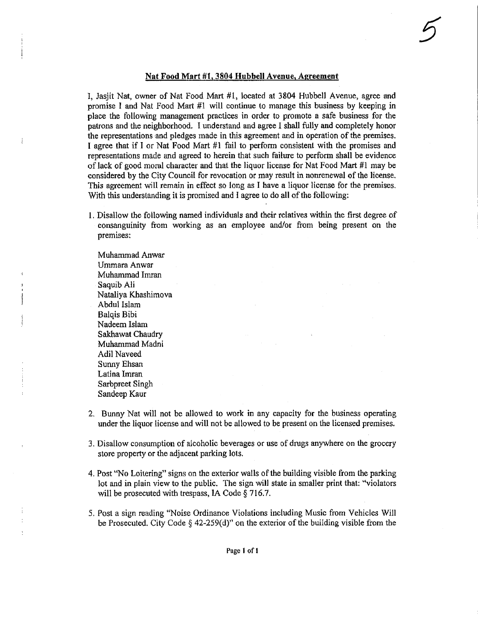#### Nat Food Mart #1,3804 Hubbell Avenue, Aereement

I, Jasjit Nat, owner of Nat Food Mart #1, located at 3804 Hubbell Avenue, agree and promise I and Nat Food Mart #1 will continue to manage this business by keeping in place the following management practices in order to promote a safe business for the patrons and the neighborhood, I understand and agree I shall fully and compietely honor the representations and pledges made in this agreement and in operation of the premises. I agree that if I or Nat Food Mart #1 fail to perform consistent with the promises and representations made and agreed to herein that such failure to perform shall be evidence of lack of good moral character and that the liquor license for Nat Food Mart #1 may be considered by the City Council for revocation or may result in nonrenewal of the license. This agreement will remain in effect so long as I have a liquor license for the premises. With this understanding it is promised and I agree to do all of the following:

1. Disallow the following named individuals and their relatives within the first degree of consanguinity from working as an employee and/or from being present on the premises:

Muhammad Anwar Umrnara Anwar Muhammad Imran Saquib Ali Nataliya Khashimova Abdul Islam Balqis Bibi Nadeem Islam Sakhawat Chaudry Muhammad Madni Adil Naveed Sunny Ehsan Lalina Imran Sarbpreet Singh Sandeep Kaur

Ĵ

- 2. Bunny Nat will not be allowed to work in any capacity for the business operating under the liquor license and will not be allowed to be present on the licensed premises.
- 3. Disallow consumption of alcoholic beverages or use of drugs anywhere on the grocery store property or the adjacent parking lots.
- 4. Post "No Loitering" signs on the exterior walls of the building visible from the parking lot and in plain view to the public. The sign will state in smaller print that: "violators will be prosecuted with trespass, IA Code § 716.7.
- 5. Post a sign reading "Noise Ordinance Violations including Music from Vehicles Will be Prosecuted. City Code § 42-259(d)" on the exterior of the building visible from the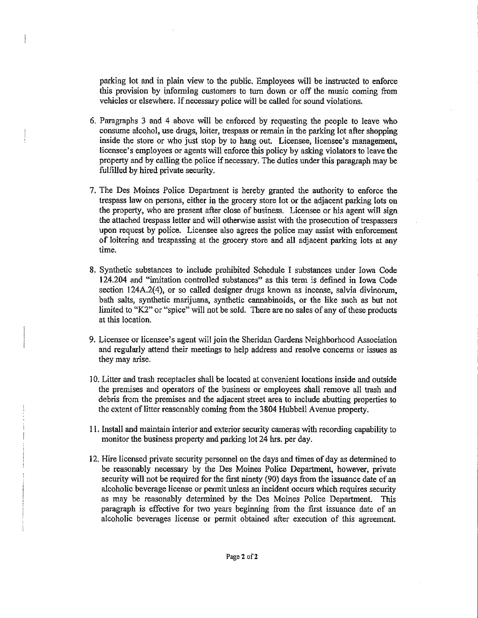parking lot and in plain view to the public. Employees will be instructed to enforce this provision by informing customers to turn down or off the music coming from vehicles or elsewhere. If necessary police will be called for sound violations.

- 6. Paragraphs 3 and 4 above will be enforced by requesting the people to leave who consume alcohol, use drugs, loiter, trespass or remain in the parking lot after shopping inside the store or who just stop by to hang out. Licensee, licensee's management, licensee's employees or agents will enforce this policy by asking violators to leave the property and by calling the police if necessary. The duties under this paragraph may be fulfilled by hired private security.
- 7. The Des Moines Police Department is hereby granted the authority to enforce the trespass law on persons, either in the grocery store lot or the adjacent parking lots on the property, who are present after close of business. Licensee or his agent will sign the attached trespass letter and will otherwise assist with the prosecution of trespassers upon request by police. Licensee also agrees the police may assist with enforcement of loitering and trespassing at the grocery store and all adjacent parking lots at any time,
- 8. Synthetic substances to include prohibited Schedule I substances under Iowa Code 124.204 and "unitation controlled substances" as this term is defined in Iowa Code section 124A.2(4), or so called designer drugs known as incense, salvia divinorum, bath salts, synthetic marijuana, synthetic caimabinoids, or the iike such as but not limited to "K2" or "spice" will not be sold. There are no sales of any of these products at this location.
- 9. Licensee or licensee's agent will join the Sheridan Gardens Neighborhood Association and regularly attend their meetings to help address and resolve concerns or issues as they may arise.
- ] 0. Litter and trash receptacles shall be located at convenient locations inside and outside the premises and operators of the business or employees shall remove all trash and debns from the premises and the adjacent street area to include abutting properties to the extent of litter reasonably coming from the 3804 Hubbeil Avenue property.
- 11. Install and maintain interior and exterior security cameras with recording capability to monitor the business property and parking lot 24 hrs. per day.
- 12, Hire licensed private security personnel on the days and times of day as determined to be reasonably necessary by the Des Moines Police Department, however, private security will not be required for the first ninety (90) days from the issuance date of an alcoholic beverage license or permit unless an incident occurs which requires security as may be reasonably determined by the Des Moines Police Department. This paragraph is effective for two years beginning from the first issuance date of an alcoholic beverages license or permit obtained after execution of this agreement.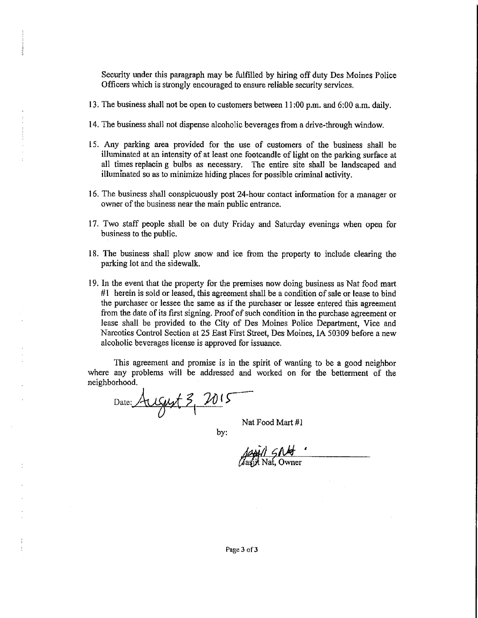Security under this paragraph may be fulfilled by hiring off duty Des Moines Police Officers which is strongly encouraged to ensure reliable security services,

- 13, The business shall not be open to customers between 11 ;00 p.m. and 6:00 a.m. daily.
- 14. The business shall not dispense alcoholic beverages from a drive-through window.
- 15. Any parking area provided for the use of customers of the business shall be illuminated at an intensity of at least one footoandle of light on the parking surface at all times replacin g bulbs as necessary. The entire site shall be landscaped and illuminated so as to minimize hiding places for possible criminal activity.
- 16. The business shall conspicuously post 24-hour contact information for a manager or owner of the business near the main public entrance.
- 17. Two staff people shall be on duty Friday and Saturday evenings when open for business to the public.
- 18. The business shall plow snow and ice from the property to include clearing the parking lot and the sidewalk.
- 19. In the event that the property for the premises now doing business as Nat food mart #1 herein is sold or leased, this agreement shall be a condition of sale or lease to buid the purchaser or lessee the same as if the purchaser or lessee entered this agreement from the date of its first signing. Proof of such condition in the purchase agreement or lease shall be provided to the City of Des Moines Police Department, Vice and Narcotics Control Section at 25 East First Street, Des Moines, IA 50309 before a new alcoholic beverages license is approved for issuance.

This agreement and promise is in the spirit of wanting to be a good neighbor where any problems will be addressed and worked on for the betterment of the neighborhood.

Date: August 3,  $101$  $\gamma$  . Nat Food Mart #1

ţ

by:

 $1$  SNM Nat, Owner